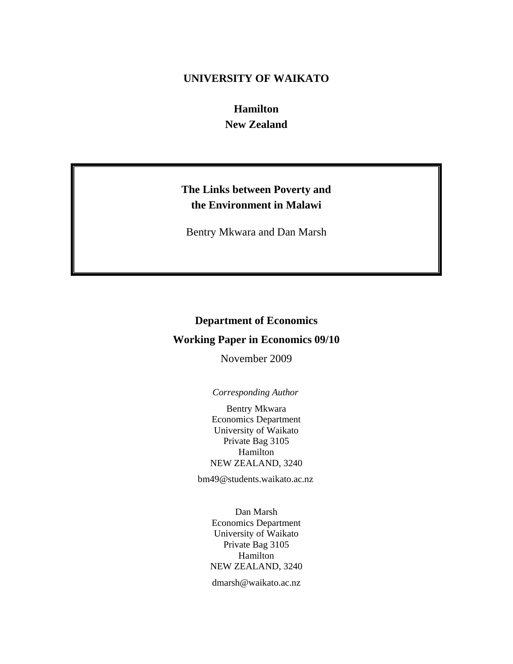# **UNIVERSITY OF WAIKATO**

**Hamilton New Zealand** 

# **The Links between Poverty and the Environment in Malawi**

Bentry Mkwara and Dan Marsh

# **Department of Economics**

# **Working Paper in Economics 09/10**

November 2009

# *Corresponding Author*

Bentry Mkwara Economics Department University of Waikato Private Bag 3105 Hamilton NEW ZEALAND, 3240

bm49@students.waikato.ac.nz

Dan Marsh Economics Department University of Waikato Private Bag 3105 Hamilton NEW ZEALAND, 3240

dmarsh@waikato.ac.nz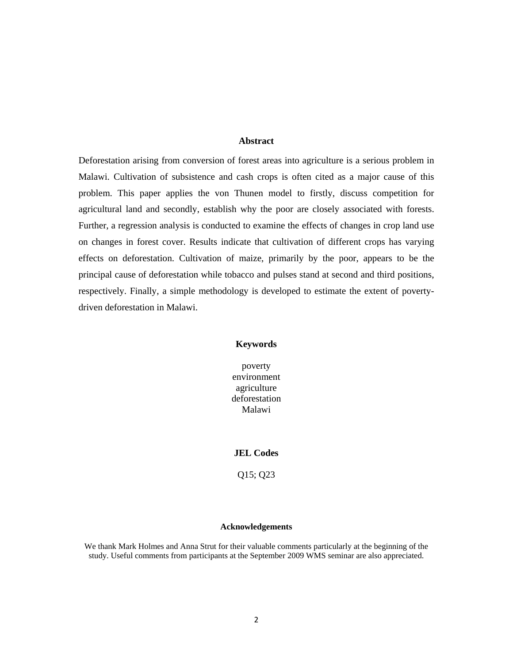#### **Abstract**

Deforestation arising from conversion of forest areas into agriculture is a serious problem in Malawi. Cultivation of subsistence and cash crops is often cited as a major cause of this problem. This paper applies the von Thunen model to firstly, discuss competition for agricultural land and secondly, establish why the poor are closely associated with forests. Further, a regression analysis is conducted to examine the effects of changes in crop land use on changes in forest cover. Results indicate that cultivation of different crops has varying effects on deforestation. Cultivation of maize, primarily by the poor, appears to be the principal cause of deforestation while tobacco and pulses stand at second and third positions, respectively. Finally, a simple methodology is developed to estimate the extent of povertydriven deforestation in Malawi.

#### **Keywords**

poverty environment agriculture deforestation Malawi

#### **JEL Codes**

Q15; Q23

#### **Acknowledgements**

We thank Mark Holmes and Anna Strut for their valuable comments particularly at the beginning of the study. Useful comments from participants at the September 2009 WMS seminar are also appreciated.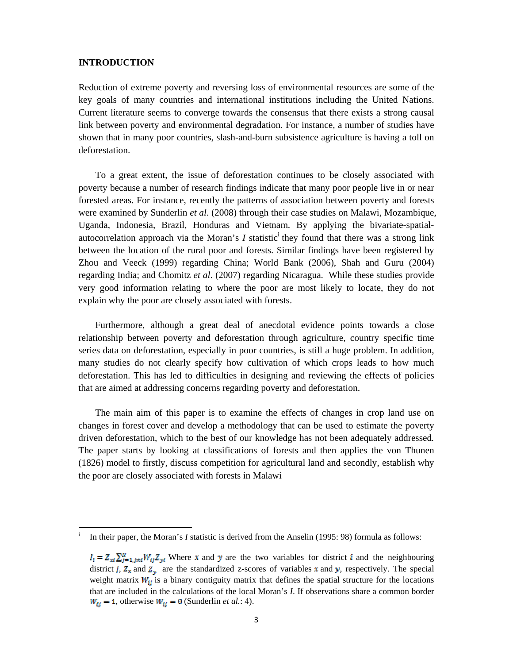### **INTRODUCTION**

Reduction of extreme poverty and reversing loss of environmental resources are some of the key goals of many countries and international institutions including the United Nations. Current literature seems to converge towards the consensus that there exists a strong causal link between poverty and environmental degradation. For instance, a number of studies have shown that in many poor countries, slash-and-burn subsistence agriculture is having a toll on deforestation.

To a great extent, the issue of deforestation continues to be closely associated with poverty because a number of research findings indicate that many poor people live in or near forested areas. For instance, recently the patterns of association between poverty and forests were examined by Sunderlin *et al*. (2008) through their case studies on Malawi, Mozambique, Uganda, Indonesia, Brazil, Honduras and Vietnam. By applying the bivariate-spatialautocorrelation approach via the Moran's  $I$  statistic<sup>i</sup> they found that there was a strong link between the location of the rural poor and forests. Similar findings have been registered by Zhou and Veeck (1999) regarding China; World Bank (2006), Shah and Guru (2004) regarding India; and Chomitz *et al*. (2007) regarding Nicaragua. While these studies provide very good information relating to where the poor are most likely to locate, they do not explain why the poor are closely associated with forests.

Furthermore, although a great deal of anecdotal evidence points towards a close relationship between poverty and deforestation through agriculture, country specific time series data on deforestation, especially in poor countries, is still a huge problem. In addition, many studies do not clearly specify how cultivation of which crops leads to how much deforestation. This has led to difficulties in designing and reviewing the effects of policies that are aimed at addressing concerns regarding poverty and deforestation.

The main aim of this paper is to examine the effects of changes in crop land use on changes in forest cover and develop a methodology that can be used to estimate the poverty driven deforestation, which to the best of our knowledge has not been adequately addressed*.* The paper starts by looking at classifications of forests and then applies the von Thunen (1826) model to firstly, discuss competition for agricultural land and secondly, establish why the poor are closely associated with forests in Malawi

i In their paper, the Moran's *I* statistic is derived from the Anselin (1995: 98) formula as follows:

 $I_i = Z_{\text{ext}} \sum_{i=1, i \neq i}^{N} W_{ij} Z_{\text{ext}}$  Where x and y are the two variables for district i and the neighbouring district *j*,  $Z_x$  and  $Z_y$  are the standardized z-scores of variables x and y, respectively. The special weight matrix  $W_{\text{tf}}$  is a binary contiguity matrix that defines the spatial structure for the locations that are included in the calculations of the local Moran's *I*. If observations share a common border  $W_{\text{tf}} = 1$ , otherwise  $W_{\text{tf}} = 0$  (Sunderlin *et al.*: 4).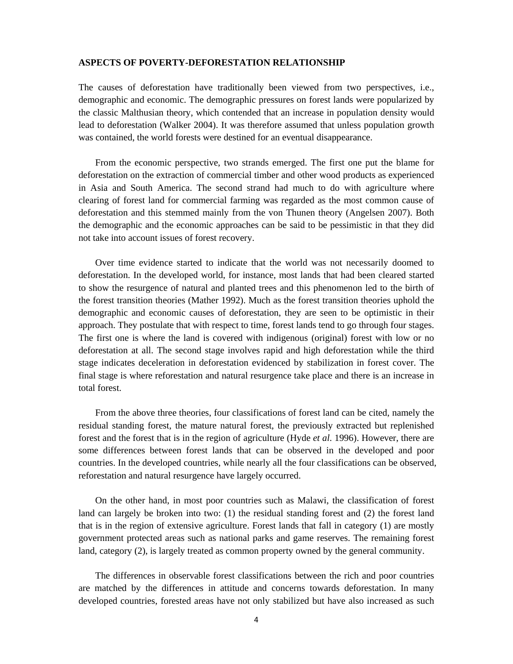#### **ASPECTS OF POVERTY-DEFORESTATION RELATIONSHIP**

The causes of deforestation have traditionally been viewed from two perspectives, i.e., demographic and economic. The demographic pressures on forest lands were popularized by the classic Malthusian theory, which contended that an increase in population density would lead to deforestation (Walker 2004). It was therefore assumed that unless population growth was contained, the world forests were destined for an eventual disappearance.

From the economic perspective, two strands emerged. The first one put the blame for deforestation on the extraction of commercial timber and other wood products as experienced in Asia and South America. The second strand had much to do with agriculture where clearing of forest land for commercial farming was regarded as the most common cause of deforestation and this stemmed mainly from the von Thunen theory (Angelsen 2007). Both the demographic and the economic approaches can be said to be pessimistic in that they did not take into account issues of forest recovery.

Over time evidence started to indicate that the world was not necessarily doomed to deforestation. In the developed world, for instance, most lands that had been cleared started to show the resurgence of natural and planted trees and this phenomenon led to the birth of the forest transition theories (Mather 1992). Much as the forest transition theories uphold the demographic and economic causes of deforestation, they are seen to be optimistic in their approach. They postulate that with respect to time, forest lands tend to go through four stages. The first one is where the land is covered with indigenous (original) forest with low or no deforestation at all. The second stage involves rapid and high deforestation while the third stage indicates deceleration in deforestation evidenced by stabilization in forest cover. The final stage is where reforestation and natural resurgence take place and there is an increase in total forest.

From the above three theories, four classifications of forest land can be cited, namely the residual standing forest, the mature natural forest, the previously extracted but replenished forest and the forest that is in the region of agriculture (Hyde *et al*. 1996). However, there are some differences between forest lands that can be observed in the developed and poor countries. In the developed countries, while nearly all the four classifications can be observed, reforestation and natural resurgence have largely occurred.

On the other hand, in most poor countries such as Malawi, the classification of forest land can largely be broken into two: (1) the residual standing forest and (2) the forest land that is in the region of extensive agriculture. Forest lands that fall in category (1) are mostly government protected areas such as national parks and game reserves. The remaining forest land, category (2), is largely treated as common property owned by the general community.

The differences in observable forest classifications between the rich and poor countries are matched by the differences in attitude and concerns towards deforestation. In many developed countries, forested areas have not only stabilized but have also increased as such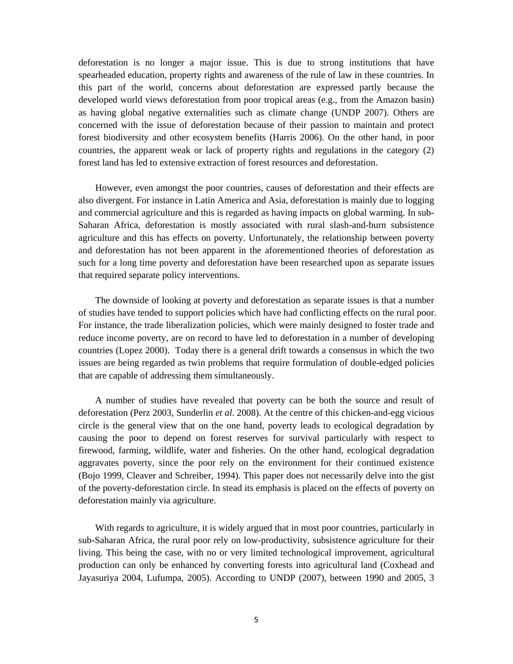deforestation is no longer a major issue. This is due to strong institutions that have spearheaded education, property rights and awareness of the rule of law in these countries. In this part of the world, concerns about deforestation are expressed partly because the developed world views deforestation from poor tropical areas (e.g., from the Amazon basin) as having global negative externalities such as climate change (UNDP 2007). Others are concerned with the issue of deforestation because of their passion to maintain and protect forest biodiversity and other ecosystem benefits (Harris 2006). On the other hand, in poor countries, the apparent weak or lack of property rights and regulations in the category (2) forest land has led to extensive extraction of forest resources and deforestation.

However, even amongst the poor countries, causes of deforestation and their effects are also divergent. For instance in Latin America and Asia, deforestation is mainly due to logging and commercial agriculture and this is regarded as having impacts on global warming. In sub-Saharan Africa, deforestation is mostly associated with rural slash-and-burn subsistence agriculture and this has effects on poverty. Unfortunately, the relationship between poverty and deforestation has not been apparent in the aforementioned theories of deforestation as such for a long time poverty and deforestation have been researched upon as separate issues that required separate policy interventions.

The downside of looking at poverty and deforestation as separate issues is that a number of studies have tended to support policies which have had conflicting effects on the rural poor. For instance, the trade liberalization policies, which were mainly designed to foster trade and reduce income poverty, are on record to have led to deforestation in a number of developing countries (Lopez 2000).Today there is a general drift towards a consensus in which the two issues are being regarded as twin problems that require formulation of double-edged policies that are capable of addressing them simultaneously.

A number of studies have revealed that poverty can be both the source and result of deforestation (Perz 2003, Sunderlin *et al*. 2008). At the centre of this chicken-and-egg vicious circle is the general view that on the one hand, poverty leads to ecological degradation by causing the poor to depend on forest reserves for survival particularly with respect to firewood, farming, wildlife, water and fisheries. On the other hand, ecological degradation aggravates poverty, since the poor rely on the environment for their continued existence (Bojo 1999, Cleaver and Schreiber, 1994). This paper does not necessarily delve into the gist of the poverty-deforestation circle. In stead its emphasis is placed on the effects of poverty on deforestation mainly via agriculture.

With regards to agriculture, it is widely argued that in most poor countries, particularly in sub-Saharan Africa, the rural poor rely on low-productivity, subsistence agriculture for their living. This being the case, with no or very limited technological improvement, agricultural production can only be enhanced by converting forests into agricultural land (Coxhead and Jayasuriya 2004, Lufumpa, 2005). According to UNDP (2007), between 1990 and 2005, 3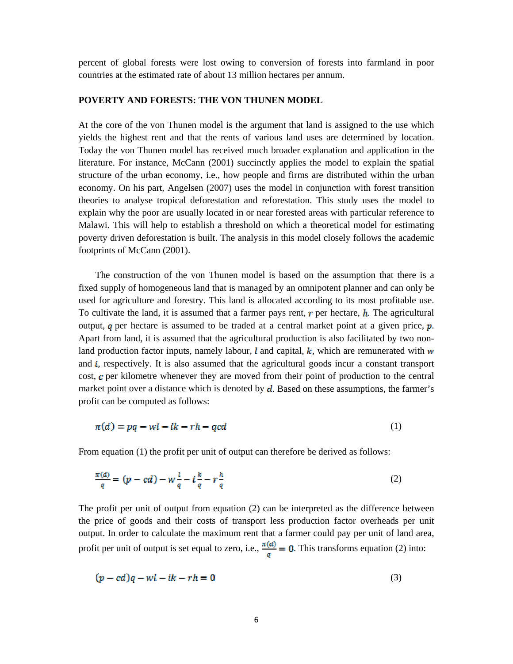percent of global forests were lost owing to conversion of forests into farmland in poor countries at the estimated rate of about 13 million hectares per annum.

#### **POVERTY AND FORESTS: THE VON THUNEN MODEL**

At the core of the von Thunen model is the argument that land is assigned to the use which yields the highest rent and that the rents of various land uses are determined by location. Today the von Thunen model has received much broader explanation and application in the literature. For instance, McCann (2001) succinctly applies the model to explain the spatial structure of the urban economy, i.e., how people and firms are distributed within the urban economy. On his part, Angelsen (2007) uses the model in conjunction with forest transition theories to analyse tropical deforestation and reforestation. This study uses the model to explain why the poor are usually located in or near forested areas with particular reference to Malawi. This will help to establish a threshold on which a theoretical model for estimating poverty driven deforestation is built. The analysis in this model closely follows the academic footprints of McCann (2001).

The construction of the von Thunen model is based on the assumption that there is a fixed supply of homogeneous land that is managed by an omnipotent planner and can only be used for agriculture and forestry. This land is allocated according to its most profitable use. To cultivate the land, it is assumed that a farmer pays rent,  $r$  per hectare,  $h$ . The agricultural output,  $q$  per hectare is assumed to be traded at a central market point at a given price,  $p$ . Apart from land, it is assumed that the agricultural production is also facilitated by two nonland production factor inputs, namely labour,  $\ell$  and capital,  $k$ , which are remunerated with  $w$ and *i*, respectively. It is also assumed that the agricultural goods incur a constant transport cost,  $\sigma$  per kilometre whenever they are moved from their point of production to the central market point over a distance which is denoted by  $d$ . Based on these assumptions, the farmer's profit can be computed as follows:

$$
\pi(d) = pq -wl - ik - rh - qcd \tag{1}
$$

From equation (1) the profit per unit of output can therefore be derived as follows:

$$
\frac{\pi(a)}{q} = (p - cd) - w\frac{l}{q} - i\frac{k}{q} - r\frac{h}{q}
$$
\n<sup>(2)</sup>

The profit per unit of output from equation (2) can be interpreted as the difference between the price of goods and their costs of transport less production factor overheads per unit output. In order to calculate the maximum rent that a farmer could pay per unit of land area, profit per unit of output is set equal to zero, i.e.,  $\frac{\pi(d)}{q} = 0$ . This transforms equation (2) into:

$$
(p - cd)q -wl - ik - rh = 0
$$
\n(3)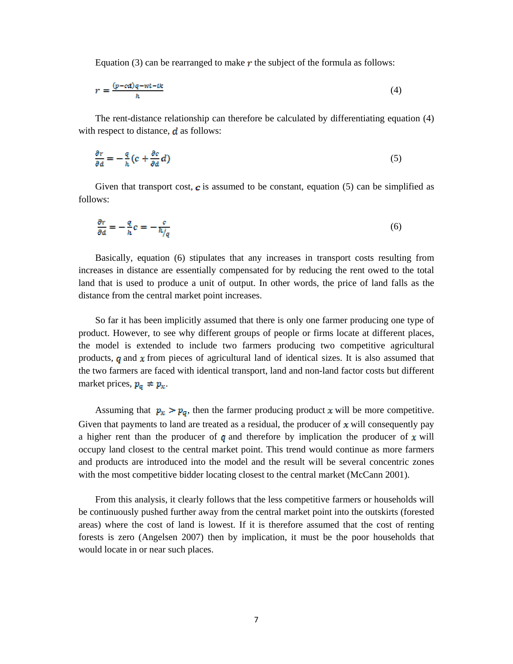Equation (3) can be rearranged to make  $r$  the subject of the formula as follows:

$$
r = \frac{(p - cd)q - wt - tk}{h} \tag{4}
$$

The rent-distance relationship can therefore be calculated by differentiating equation (4) with respect to distance,  $d$  as follows:

$$
\frac{\partial r}{\partial d} = -\frac{q}{h} \left( c + \frac{\partial c}{\partial d} d \right) \tag{5}
$$

Given that transport cost,  $c$  is assumed to be constant, equation (5) can be simplified as follows:

$$
\frac{\partial r}{\partial d} = -\frac{q}{h}c = -\frac{c}{h/q} \tag{6}
$$

Basically, equation (6) stipulates that any increases in transport costs resulting from increases in distance are essentially compensated for by reducing the rent owed to the total land that is used to produce a unit of output. In other words, the price of land falls as the distance from the central market point increases.

So far it has been implicitly assumed that there is only one farmer producing one type of product. However, to see why different groups of people or firms locate at different places, the model is extended to include two farmers producing two competitive agricultural products,  $q$  and  $x$  from pieces of agricultural land of identical sizes. It is also assumed that the two farmers are faced with identical transport, land and non-land factor costs but different market prices,  $p_q \neq p_x$ .

Assuming that  $p_x > p_q$ , then the farmer producing product x will be more competitive. Given that payments to land are treated as a residual, the producer of  $x$  will consequently pay a higher rent than the producer of q and therefore by implication the producer of x will occupy land closest to the central market point. This trend would continue as more farmers and products are introduced into the model and the result will be several concentric zones with the most competitive bidder locating closest to the central market (McCann 2001).

From this analysis, it clearly follows that the less competitive farmers or households will be continuously pushed further away from the central market point into the outskirts (forested areas) where the cost of land is lowest. If it is therefore assumed that the cost of renting forests is zero (Angelsen 2007) then by implication, it must be the poor households that would locate in or near such places.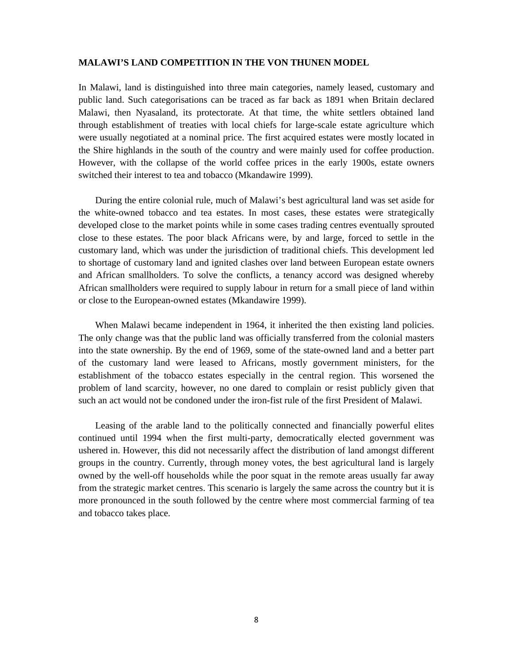#### **MALAWI'S LAND COMPETITION IN THE VON THUNEN MODEL**

In Malawi, land is distinguished into three main categories, namely leased, customary and public land. Such categorisations can be traced as far back as 1891 when Britain declared Malawi, then Nyasaland, its protectorate. At that time, the white settlers obtained land through establishment of treaties with local chiefs for large-scale estate agriculture which were usually negotiated at a nominal price. The first acquired estates were mostly located in the Shire highlands in the south of the country and were mainly used for coffee production. However, with the collapse of the world coffee prices in the early 1900s, estate owners switched their interest to tea and tobacco (Mkandawire 1999).

During the entire colonial rule, much of Malawi's best agricultural land was set aside for the white-owned tobacco and tea estates. In most cases, these estates were strategically developed close to the market points while in some cases trading centres eventually sprouted close to these estates. The poor black Africans were, by and large, forced to settle in the customary land, which was under the jurisdiction of traditional chiefs. This development led to shortage of customary land and ignited clashes over land between European estate owners and African smallholders. To solve the conflicts, a tenancy accord was designed whereby African smallholders were required to supply labour in return for a small piece of land within or close to the European-owned estates (Mkandawire 1999).

When Malawi became independent in 1964, it inherited the then existing land policies. The only change was that the public land was officially transferred from the colonial masters into the state ownership. By the end of 1969, some of the state-owned land and a better part of the customary land were leased to Africans, mostly government ministers, for the establishment of the tobacco estates especially in the central region. This worsened the problem of land scarcity, however, no one dared to complain or resist publicly given that such an act would not be condoned under the iron-fist rule of the first President of Malawi.

Leasing of the arable land to the politically connected and financially powerful elites continued until 1994 when the first multi-party, democratically elected government was ushered in. However, this did not necessarily affect the distribution of land amongst different groups in the country. Currently, through money votes, the best agricultural land is largely owned by the well-off households while the poor squat in the remote areas usually far away from the strategic market centres. This scenario is largely the same across the country but it is more pronounced in the south followed by the centre where most commercial farming of tea and tobacco takes place.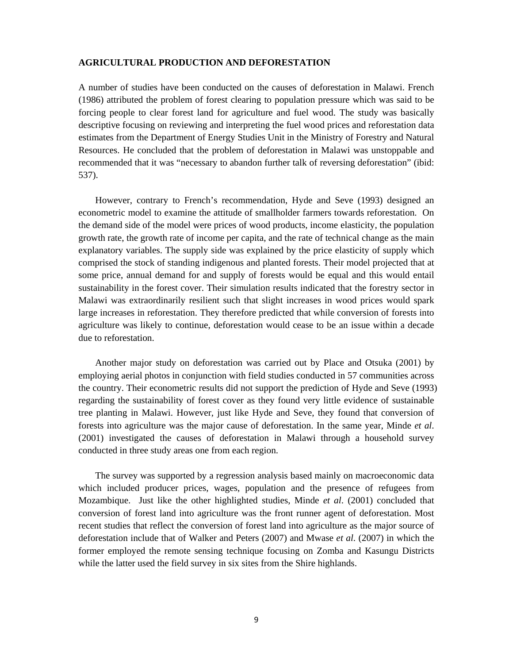#### **AGRICULTURAL PRODUCTION AND DEFORESTATION**

A number of studies have been conducted on the causes of deforestation in Malawi. French (1986) attributed the problem of forest clearing to population pressure which was said to be forcing people to clear forest land for agriculture and fuel wood. The study was basically descriptive focusing on reviewing and interpreting the fuel wood prices and reforestation data estimates from the Department of Energy Studies Unit in the Ministry of Forestry and Natural Resources. He concluded that the problem of deforestation in Malawi was unstoppable and recommended that it was "necessary to abandon further talk of reversing deforestation" (ibid: 537).

However, contrary to French's recommendation, Hyde and Seve (1993) designed an econometric model to examine the attitude of smallholder farmers towards reforestation. On the demand side of the model were prices of wood products, income elasticity, the population growth rate, the growth rate of income per capita, and the rate of technical change as the main explanatory variables. The supply side was explained by the price elasticity of supply which comprised the stock of standing indigenous and planted forests. Their model projected that at some price, annual demand for and supply of forests would be equal and this would entail sustainability in the forest cover. Their simulation results indicated that the forestry sector in Malawi was extraordinarily resilient such that slight increases in wood prices would spark large increases in reforestation. They therefore predicted that while conversion of forests into agriculture was likely to continue, deforestation would cease to be an issue within a decade due to reforestation.

Another major study on deforestation was carried out by Place and Otsuka (2001) by employing aerial photos in conjunction with field studies conducted in 57 communities across the country. Their econometric results did not support the prediction of Hyde and Seve (1993) regarding the sustainability of forest cover as they found very little evidence of sustainable tree planting in Malawi. However, just like Hyde and Seve, they found that conversion of forests into agriculture was the major cause of deforestation. In the same year, Minde *et al*. (2001) investigated the causes of deforestation in Malawi through a household survey conducted in three study areas one from each region.

The survey was supported by a regression analysis based mainly on macroeconomic data which included producer prices, wages, population and the presence of refugees from Mozambique. Just like the other highlighted studies, Minde *et al*. (2001) concluded that conversion of forest land into agriculture was the front runner agent of deforestation. Most recent studies that reflect the conversion of forest land into agriculture as the major source of deforestation include that of Walker and Peters (2007) and Mwase *et al*. (2007) in which the former employed the remote sensing technique focusing on Zomba and Kasungu Districts while the latter used the field survey in six sites from the Shire highlands.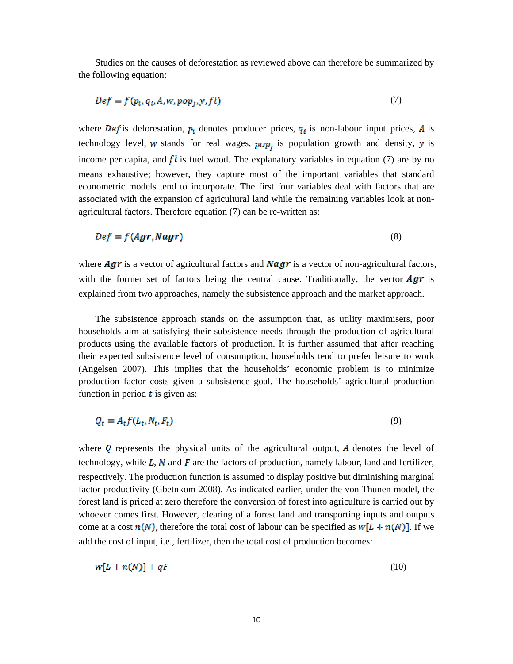Studies on the causes of deforestation as reviewed above can therefore be summarized by the following equation:

$$
Def = f(p_t, q_t, A, w, pop_j, y, f l)
$$
\n<sup>(7)</sup>

where **Def** is deforestation,  $p_t$  denotes producer prices,  $q_t$  is non-labour input prices, A is technology level, w stands for real wages,  $pop<sub>f</sub>$  is population growth and density, y is income per capita, and  $fl$  is fuel wood. The explanatory variables in equation (7) are by no means exhaustive; however, they capture most of the important variables that standard econometric models tend to incorporate. The first four variables deal with factors that are associated with the expansion of agricultural land while the remaining variables look at nonagricultural factors. Therefore equation (7) can be re-written as:

$$
Def = f(Agr, Nagr) \tag{8}
$$

where **Agr** is a vector of agricultural factors and **Nagr** is a vector of non-agricultural factors, with the former set of factors being the central cause. Traditionally, the vector  $\bm{A}\bm{g}\bm{r}$  is explained from two approaches, namely the subsistence approach and the market approach.

The subsistence approach stands on the assumption that, as utility maximisers, poor households aim at satisfying their subsistence needs through the production of agricultural products using the available factors of production. It is further assumed that after reaching their expected subsistence level of consumption, households tend to prefer leisure to work (Angelsen 2007). This implies that the households' economic problem is to minimize production factor costs given a subsistence goal. The households' agricultural production function in period  $t$  is given as:

$$
Q_t = A_t f(L_t, N_t, F_t) \tag{9}
$$

where  *represents the physical units of the agricultural output,*  $*A*$  *denotes the level of* technology, while  $L$ ,  $N$  and  $F$  are the factors of production, namely labour, land and fertilizer, respectively. The production function is assumed to display positive but diminishing marginal factor productivity (Gbetnkom 2008). As indicated earlier, under the von Thunen model, the forest land is priced at zero therefore the conversion of forest into agriculture is carried out by whoever comes first. However, clearing of a forest land and transporting inputs and outputs come at a cost  $n(N)$ , therefore the total cost of labour can be specified as  $w[L + n(N)]$ . If we add the cost of input, i.e., fertilizer, then the total cost of production becomes:

$$
w[L + n(N)] + qF \tag{10}
$$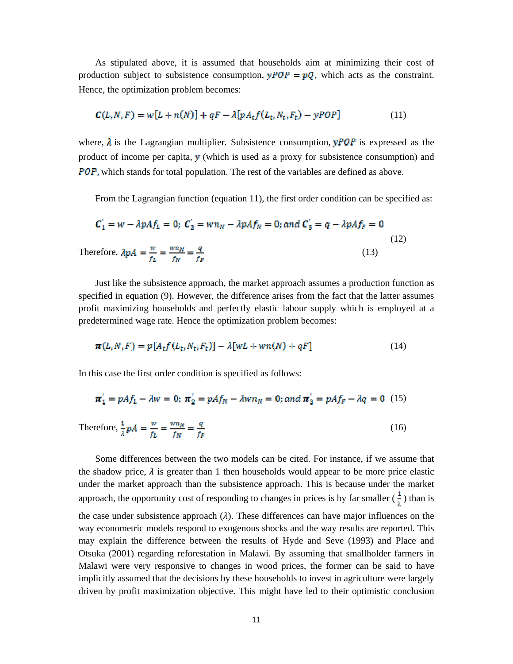As stipulated above, it is assumed that households aim at minimizing their cost of production subject to subsistence consumption,  $yPOP = pQ$ , which acts as the constraint. Hence, the optimization problem becomes:

$$
C(L, N, F) = w[L + n(N)] + qF - \lambda[pA_t f(L_t, N_t, F_t) - yPOP]
$$
\n
$$
(11)
$$

where,  $\lambda$  is the Lagrangian multiplier. Subsistence consumption, **yPOP** is expressed as the product of income per capita,  $y$  (which is used as a proxy for subsistence consumption) and **POP**, which stands for total population. The rest of the variables are defined as above.

From the Lagrangian function (equation 11), the first order condition can be specified as:

$$
\mathcal{C}'_1 = w - \lambda p A f_L = 0; \ \mathcal{C}'_2 = w n_N - \lambda p A f_N = 0; \text{and } \mathcal{C}'_3 = q - \lambda p A f_F = 0
$$
\n
$$
\text{Therefore, } \lambda p A = \frac{w}{f_L} = \frac{w n_N}{f_N} = \frac{q}{f_F} \tag{12}
$$

Just like the subsistence approach, the market approach assumes a production function as specified in equation (9). However, the difference arises from the fact that the latter assumes profit maximizing households and perfectly elastic labour supply which is employed at a predetermined wage rate. Hence the optimization problem becomes:

$$
\pi(L_i N_i F) = p[A_t f(L_t, N_t, F_t)] - \lambda [wL + wn(N) + qF]
$$
\n(14)

In this case the first order condition is specified as follows:

$$
\pi_1' = pAf_L - \lambda w = 0; \ \pi_2' = pAf_N - \lambda w n_N = 0; \text{ and } \pi_3' = pAf_F - \lambda q = 0 \tag{15}
$$

Therefore,  $\frac{1}{\lambda} pA = \frac{w}{f_B} = \frac{w n_N}{f_W} = \frac{q}{f_B}$  (16)

Some differences between the two models can be cited. For instance, if we assume that the shadow price,  $\lambda$  is greater than 1 then households would appear to be more price elastic under the market approach than the subsistence approach. This is because under the market approach, the opportunity cost of responding to changes in prices is by far smaller  $(\frac{1}{s})$  than is the case under subsistence approach  $(\lambda)$ . These differences can have major influences on the way econometric models respond to exogenous shocks and the way results are reported. This may explain the difference between the results of Hyde and Seve (1993) and Place and Otsuka (2001) regarding reforestation in Malawi. By assuming that smallholder farmers in Malawi were very responsive to changes in wood prices, the former can be said to have implicitly assumed that the decisions by these households to invest in agriculture were largely driven by profit maximization objective. This might have led to their optimistic conclusion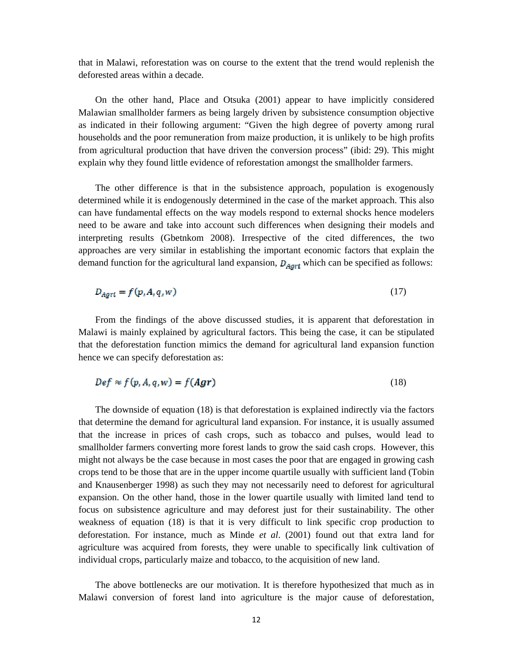that in Malawi, reforestation was on course to the extent that the trend would replenish the deforested areas within a decade.

On the other hand, Place and Otsuka (2001) appear to have implicitly considered Malawian smallholder farmers as being largely driven by subsistence consumption objective as indicated in their following argument: "Given the high degree of poverty among rural households and the poor remuneration from maize production, it is unlikely to be high profits from agricultural production that have driven the conversion process" (ibid: 29). This might explain why they found little evidence of reforestation amongst the smallholder farmers.

The other difference is that in the subsistence approach, population is exogenously determined while it is endogenously determined in the case of the market approach. This also can have fundamental effects on the way models respond to external shocks hence modelers need to be aware and take into account such differences when designing their models and interpreting results (Gbetnkom 2008). Irrespective of the cited differences, the two approaches are very similar in establishing the important economic factors that explain the demand function for the agricultural land expansion,  $D_{Aort}$  which can be specified as follows:

$$
D_{Agrt} = f(p, A, q, w) \tag{17}
$$

From the findings of the above discussed studies, it is apparent that deforestation in Malawi is mainly explained by agricultural factors. This being the case, it can be stipulated that the deforestation function mimics the demand for agricultural land expansion function hence we can specify deforestation as:

$$
Def \approx f(p, A, q, w) = f(Agr)
$$
\n(18)

The downside of equation (18) is that deforestation is explained indirectly via the factors that determine the demand for agricultural land expansion. For instance, it is usually assumed that the increase in prices of cash crops, such as tobacco and pulses, would lead to smallholder farmers converting more forest lands to grow the said cash crops. However, this might not always be the case because in most cases the poor that are engaged in growing cash crops tend to be those that are in the upper income quartile usually with sufficient land (Tobin and Knausenberger 1998) as such they may not necessarily need to deforest for agricultural expansion. On the other hand, those in the lower quartile usually with limited land tend to focus on subsistence agriculture and may deforest just for their sustainability. The other weakness of equation (18) is that it is very difficult to link specific crop production to deforestation. For instance, much as Minde *et al*. (2001) found out that extra land for agriculture was acquired from forests, they were unable to specifically link cultivation of individual crops, particularly maize and tobacco, to the acquisition of new land.

The above bottlenecks are our motivation. It is therefore hypothesized that much as in Malawi conversion of forest land into agriculture is the major cause of deforestation,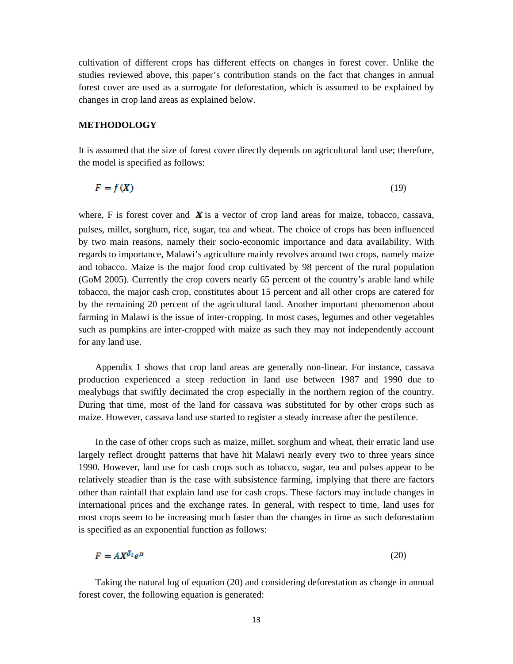cultivation of different crops has different effects on changes in forest cover. Unlike the studies reviewed above, this paper's contribution stands on the fact that changes in annual forest cover are used as a surrogate for deforestation, which is assumed to be explained by changes in crop land areas as explained below.

# **METHODOLOGY**

It is assumed that the size of forest cover directly depends on agricultural land use; therefore, the model is specified as follows:

(19)

where, F is forest cover and  $\boldsymbol{X}$  is a vector of crop land areas for maize, tobacco, cassava, pulses, millet, sorghum, rice, sugar, tea and wheat. The choice of crops has been influenced by two main reasons, namely their socio-economic importance and data availability. With regards to importance, Malawi's agriculture mainly revolves around two crops, namely maize and tobacco. Maize is the major food crop cultivated by 98 percent of the rural population (GoM 2005). Currently the crop covers nearly 65 percent of the country's arable land while tobacco, the major cash crop, constitutes about 15 percent and all other crops are catered for by the remaining 20 percent of the agricultural land. Another important phenomenon about farming in Malawi is the issue of inter-cropping. In most cases, legumes and other vegetables such as pumpkins are inter-cropped with maize as such they may not independently account for any land use.

Appendix 1 shows that crop land areas are generally non-linear. For instance, cassava production experienced a steep reduction in land use between 1987 and 1990 due to mealybugs that swiftly decimated the crop especially in the northern region of the country. During that time, most of the land for cassava was substituted for by other crops such as maize. However, cassava land use started to register a steady increase after the pestilence.

In the case of other crops such as maize, millet, sorghum and wheat, their erratic land use largely reflect drought patterns that have hit Malawi nearly every two to three years since 1990. However, land use for cash crops such as tobacco, sugar, tea and pulses appear to be relatively steadier than is the case with subsistence farming, implying that there are factors other than rainfall that explain land use for cash crops. These factors may include changes in international prices and the exchange rates. In general, with respect to time, land uses for most crops seem to be increasing much faster than the changes in time as such deforestation is specified as an exponential function as follows:

$$
F = A X^{\beta_t} e^{\mu} \tag{20}
$$

Taking the natural log of equation (20) and considering deforestation as change in annual forest cover, the following equation is generated: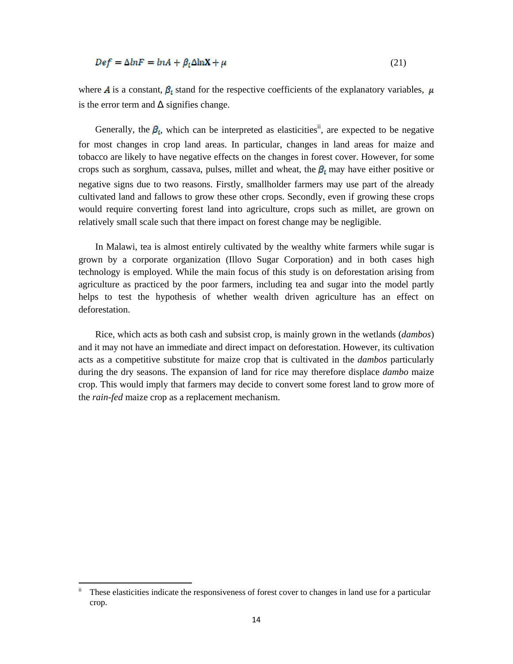$$
Def = \Delta lnF = lnA + \beta_t \Delta lnX + \mu \tag{21}
$$

where **A** is a constant,  $\beta_t$  stand for the respective coefficients of the explanatory variables,  $\mu$ is the error term and  $\Delta$  signifies change.

Generally, the  $\beta_t$ , which can be interpreted as elasticities<sup>ii</sup>, are expected to be negative for most changes in crop land areas. In particular, changes in land areas for maize and tobacco are likely to have negative effects on the changes in forest cover. However, for some crops such as sorghum, cassava, pulses, millet and wheat, the  $\beta_t$  may have either positive or negative signs due to two reasons. Firstly, smallholder farmers may use part of the already cultivated land and fallows to grow these other crops. Secondly, even if growing these crops would require converting forest land into agriculture, crops such as millet, are grown on relatively small scale such that there impact on forest change may be negligible.

In Malawi, tea is almost entirely cultivated by the wealthy white farmers while sugar is grown by a corporate organization (Illovo Sugar Corporation) and in both cases high technology is employed. While the main focus of this study is on deforestation arising from agriculture as practiced by the poor farmers, including tea and sugar into the model partly helps to test the hypothesis of whether wealth driven agriculture has an effect on deforestation.

Rice, which acts as both cash and subsist crop, is mainly grown in the wetlands (*dambos*) and it may not have an immediate and direct impact on deforestation. However, its cultivation acts as a competitive substitute for maize crop that is cultivated in the *dambos* particularly during the dry seasons. The expansion of land for rice may therefore displace *dambo* maize crop. This would imply that farmers may decide to convert some forest land to grow more of the *rain-fed* maize crop as a replacement mechanism.

 $\ddot{a}$ . These elasticities indicate the responsiveness of forest cover to changes in land use for a particular crop.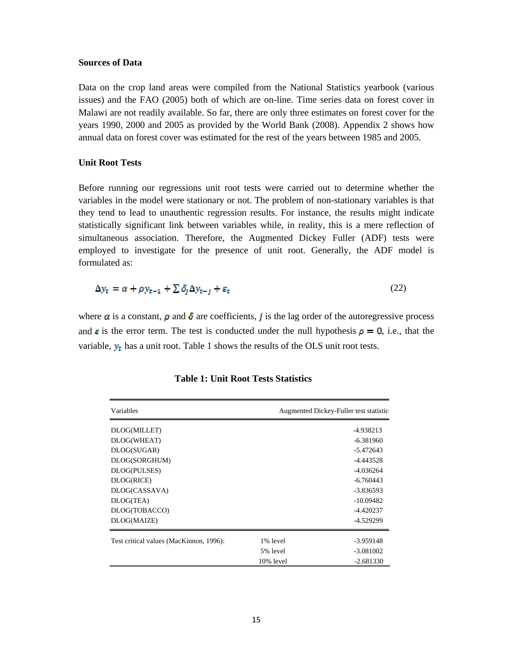#### **Sources of Data**

Data on the crop land areas were compiled from the National Statistics yearbook (various issues) and the FAO (2005) both of which are on-line. Time series data on forest cover in Malawi are not readily available. So far, there are only three estimates on forest cover for the years 1990, 2000 and 2005 as provided by the World Bank (2008). Appendix 2 shows how annual data on forest cover was estimated for the rest of the years between 1985 and 2005.

# **Unit Root Tests**

Before running our regressions unit root tests were carried out to determine whether the variables in the model were stationary or not. The problem of non-stationary variables is that they tend to lead to unauthentic regression results. For instance, the results might indicate statistically significant link between variables while, in reality, this is a mere reflection of simultaneous association. Therefore, the Augmented Dickey Fuller (ADF) tests were employed to investigate for the presence of unit root. Generally, the ADF model is formulated as:

$$
\Delta y_t = \alpha + \rho y_{t-1} + \sum \delta_j \Delta y_{t-j} + \varepsilon_t \tag{22}
$$

where  $\alpha$  is a constant,  $\rho$  and  $\delta$  are coefficients, *j* is the lag order of the autoregressive process and  $\varepsilon$  is the error term. The test is conducted under the null hypothesis  $\rho = 0$ , i.e., that the variable,  $y_t$  has a unit root. Table 1 shows the results of the OLS unit root tests.

| Variables                               | Augmented Dickey-Fuller test statistic |             |
|-----------------------------------------|----------------------------------------|-------------|
| DLOG(MILLET)                            |                                        | -4.938213   |
| DLOG(WHEAT)                             |                                        | $-6.381960$ |
| DLOG(SUGAR)                             |                                        | $-5.472643$ |
| DLOG(SORGHUM)                           |                                        | $-4.443528$ |
| DLOG(PULSES)                            |                                        | $-4.036264$ |
| DLOG(RICE)                              |                                        | $-6.760443$ |
| DLOG(CASSAVA)                           |                                        | $-3.836593$ |
| DLOG(TEA)                               |                                        | $-10.09482$ |
| DLOG(TOBACCO)                           |                                        | $-4.420237$ |
| DLOG(MAIZE)                             |                                        | -4.529299   |
| Test critical values (MacKinnon, 1996): | 1% level                               | $-3.959148$ |
|                                         | 5% level                               | $-3.081002$ |
|                                         | 10% level                              | $-2.681330$ |

**Table 1: Unit Root Tests Statistics**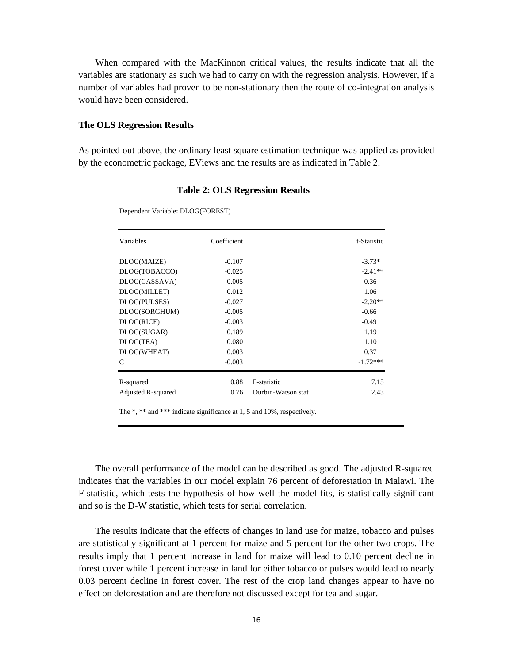When compared with the MacKinnon critical values, the results indicate that all the variables are stationary as such we had to carry on with the regression analysis. However, if a number of variables had proven to be non-stationary then the route of co-integration analysis would have been considered.

#### **The OLS Regression Results**

Dependent Variable: DLOG(FOREST)

As pointed out above, the ordinary least square estimation technique was applied as provided by the econometric package, EViews and the results are as indicated in Table 2.

| Coefficient |                    | t-Statistic |
|-------------|--------------------|-------------|
| $-0.107$    |                    | $-3.73*$    |
| $-0.025$    |                    | $-2.41**$   |
| 0.005       |                    | 0.36        |
| 0.012       |                    | 1.06        |
| $-0.027$    |                    | $-2.20**$   |
| $-0.005$    |                    | $-0.66$     |
| $-0.003$    |                    | $-0.49$     |
| 0.189       |                    | 1.19        |
| 0.080       |                    | 1.10        |
| 0.003       |                    | 0.37        |
| $-0.003$    |                    | $-1.72***$  |
|             |                    | 7.15        |
| 0.76        | Durbin-Watson stat | 2.43        |
|             | 0.88               | F-statistic |

**Table 2: OLS Regression Results**

The \*, \*\* and \*\*\* indicate significance at 1, 5 and 10%, respectively.

The overall performance of the model can be described as good. The adjusted R-squared indicates that the variables in our model explain 76 percent of deforestation in Malawi. The F-statistic, which tests the hypothesis of how well the model fits, is statistically significant and so is the D-W statistic, which tests for serial correlation.

The results indicate that the effects of changes in land use for maize, tobacco and pulses are statistically significant at 1 percent for maize and 5 percent for the other two crops. The results imply that 1 percent increase in land for maize will lead to 0.10 percent decline in forest cover while 1 percent increase in land for either tobacco or pulses would lead to nearly 0.03 percent decline in forest cover. The rest of the crop land changes appear to have no effect on deforestation and are therefore not discussed except for tea and sugar.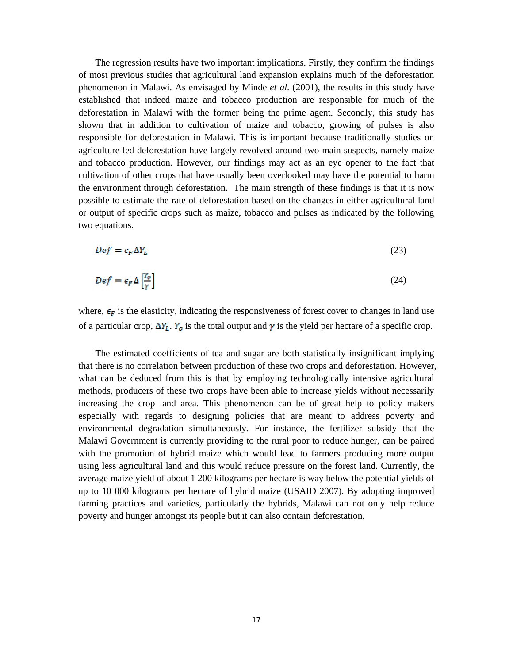The regression results have two important implications. Firstly, they confirm the findings of most previous studies that agricultural land expansion explains much of the deforestation phenomenon in Malawi. As envisaged by Minde *et al*. (2001), the results in this study have established that indeed maize and tobacco production are responsible for much of the deforestation in Malawi with the former being the prime agent. Secondly, this study has shown that in addition to cultivation of maize and tobacco, growing of pulses is also responsible for deforestation in Malawi. This is important because traditionally studies on agriculture-led deforestation have largely revolved around two main suspects, namely maize and tobacco production. However, our findings may act as an eye opener to the fact that cultivation of other crops that have usually been overlooked may have the potential to harm the environment through deforestation. The main strength of these findings is that it is now possible to estimate the rate of deforestation based on the changes in either agricultural land or output of specific crops such as maize, tobacco and pulses as indicated by the following two equations.

$$
Def = \epsilon_F \Delta Y_L \tag{23}
$$

$$
Def = \epsilon_F \Delta \left[ \frac{Y_0}{\gamma} \right] \tag{24}
$$

where,  $\epsilon_{\mathbf{F}}$  is the elasticity, indicating the responsiveness of forest cover to changes in land use of a particular crop,  $\Delta Y_L$ .  $Y_Q$  is the total output and  $\gamma$  is the yield per hectare of a specific crop.

The estimated coefficients of tea and sugar are both statistically insignificant implying that there is no correlation between production of these two crops and deforestation. However, what can be deduced from this is that by employing technologically intensive agricultural methods, producers of these two crops have been able to increase yields without necessarily increasing the crop land area. This phenomenon can be of great help to policy makers especially with regards to designing policies that are meant to address poverty and environmental degradation simultaneously. For instance, the fertilizer subsidy that the Malawi Government is currently providing to the rural poor to reduce hunger, can be paired with the promotion of hybrid maize which would lead to farmers producing more output using less agricultural land and this would reduce pressure on the forest land. Currently, the average maize yield of about 1 200 kilograms per hectare is way below the potential yields of up to 10 000 kilograms per hectare of hybrid maize (USAID 2007). By adopting improved farming practices and varieties, particularly the hybrids, Malawi can not only help reduce poverty and hunger amongst its people but it can also contain deforestation.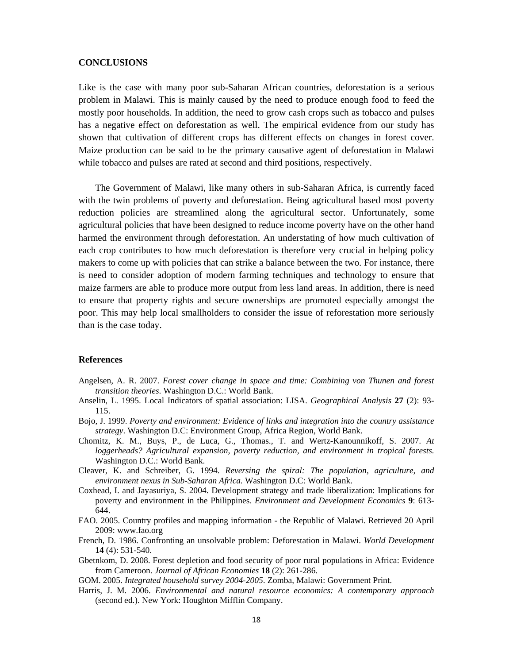#### **CONCLUSIONS**

Like is the case with many poor sub-Saharan African countries, deforestation is a serious problem in Malawi. This is mainly caused by the need to produce enough food to feed the mostly poor households. In addition, the need to grow cash crops such as tobacco and pulses has a negative effect on deforestation as well. The empirical evidence from our study has shown that cultivation of different crops has different effects on changes in forest cover. Maize production can be said to be the primary causative agent of deforestation in Malawi while tobacco and pulses are rated at second and third positions, respectively.

The Government of Malawi, like many others in sub-Saharan Africa, is currently faced with the twin problems of poverty and deforestation. Being agricultural based most poverty reduction policies are streamlined along the agricultural sector. Unfortunately, some agricultural policies that have been designed to reduce income poverty have on the other hand harmed the environment through deforestation. An understating of how much cultivation of each crop contributes to how much deforestation is therefore very crucial in helping policy makers to come up with policies that can strike a balance between the two. For instance, there is need to consider adoption of modern farming techniques and technology to ensure that maize farmers are able to produce more output from less land areas. In addition, there is need to ensure that property rights and secure ownerships are promoted especially amongst the poor. This may help local smallholders to consider the issue of reforestation more seriously than is the case today.

### **References**

- Angelsen, A. R. 2007. *Forest cover change in space and time: Combining von Thunen and forest transition theories*. Washington D.C.: World Bank.
- Anselin, L. 1995. Local Indicators of spatial association: LISA. *Geographical Analysis* **27** (2): 93- 115.
- Bojo, J. 1999. *Poverty and environment: Evidence of links and integration into the country assistance strategy*. Washington D.C: Environment Group, Africa Region, World Bank.
- Chomitz, K. M., Buys, P., de Luca, G., Thomas., T. and Wertz-Kanounnikoff, S. 2007. *At loggerheads? Agricultural expansion, poverty reduction, and environment in tropical forests*. Washington D.C.: World Bank.
- Cleaver, K. and Schreiber, G. 1994. *Reversing the spiral: The population, agriculture, and environment nexus in Sub-Saharan Africa.* Washington D.C: World Bank.
- Coxhead, I. and Jayasuriya, S. 2004. Development strategy and trade liberalization: Implications for poverty and environment in the Philippines. *Environment and Development Economics* **9**: 613- 644.
- FAO. 2005. Country profiles and mapping information the Republic of Malawi. Retrieved 20 April 2009: www.fao.org
- French, D. 1986. Confronting an unsolvable problem: Deforestation in Malawi. *World Development*  **14** (4): 531-540.
- Gbetnkom, D. 2008. Forest depletion and food security of poor rural populations in Africa: Evidence from Cameroon. *Journal of African Economies* **18** (2): 261-286.
- GOM. 2005. *Integrated household survey 2004-2005*. Zomba, Malawi: Government Print.
- Harris, J. M. 2006. *Environmental and natural resource economics: A contemporary approach* (second ed.). New York: Houghton Mifflin Company.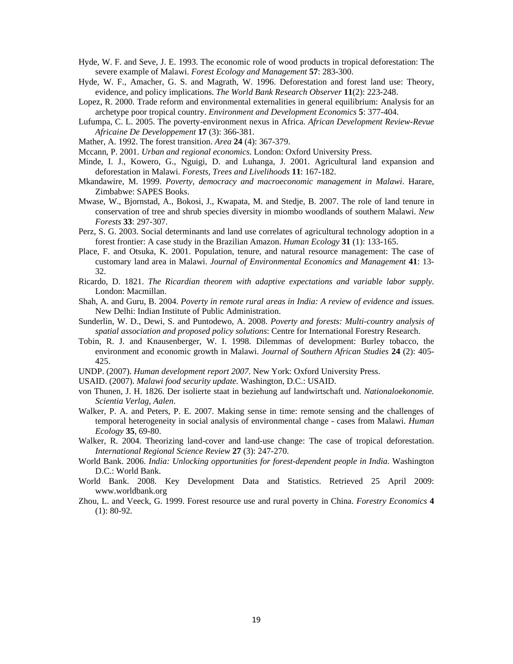- Hyde, W. F. and Seve, J. E. 1993. The economic role of wood products in tropical deforestation: The severe example of Malawi. *Forest Ecology and Management* **57**: 283-300.
- Hyde, W. F., Amacher, G. S. and Magrath, W. 1996. Deforestation and forest land use: Theory, evidence, and policy implications. *The World Bank Research Observer* **11**(2): 223-248.
- Lopez, R. 2000. Trade reform and environmental externalities in general equilibrium: Analysis for an archetype poor tropical country. *Environment and Development Economics* **5**: 377-404.
- Lufumpa, C. L. 2005. The poverty-environment nexus in Africa. *African Development Review-Revue Africaine De Developpement* **17** (3): 366-381.
- Mather, A. 1992. The forest transition. *Area* **24** (4): 367-379.
- Mccann, P. 2001. *Urban and regional economics*. London: Oxford University Press.
- Minde, I. J., Kowero, G., Nguigi, D. and Luhanga, J. 2001. Agricultural land expansion and deforestation in Malawi. *Forests, Trees and Livelihoods* **11**: 167-182.
- Mkandawire, M. 1999. *Poverty, democracy and macroeconomic management in Malawi*. Harare, Zimbabwe: SAPES Books.
- Mwase, W., Bjornstad, A., Bokosi, J., Kwapata, M. and Stedje, B. 2007. The role of land tenure in conservation of tree and shrub species diversity in miombo woodlands of southern Malawi. *New Forests* **33**: 297-307.
- Perz, S. G. 2003. Social determinants and land use correlates of agricultural technology adoption in a forest frontier: A case study in the Brazilian Amazon. *Human Ecology* **31** (1): 133-165.
- Place, F. and Otsuka, K. 2001. Population, tenure, and natural resource management: The case of customary land area in Malawi. *Journal of Environmental Economics and Management* **41**: 13- 32.
- Ricardo, D. 1821. *The Ricardian theorem with adaptive expectations and variable labor supply*. London: Macmillan.
- Shah, A. and Guru, B. 2004. *Poverty in remote rural areas in India: A review of evidence and issues*. New Delhi: Indian Institute of Public Administration.
- Sunderlin, W. D., Dewi, S. and Puntodewo, A. 2008. *Poverty and forests: Multi-country analysis of spatial association and proposed policy solutions*: Centre for International Forestry Research.
- Tobin, R. J. and Knausenberger, W. I. 1998. Dilemmas of development: Burley tobacco, the environment and economic growth in Malawi. *Journal of Southern African Studies* **24** (2): 405- 425.
- UNDP. (2007). *Human development report 2007*. New York: Oxford University Press.
- USAID. (2007). *Malawi food security update*. Washington, D.C.: USAID.
- von Thunen, J. H. 1826. Der isolierte staat in beziehung auf landwirtschaft und. *Nationaloekonomie. Scientia Verlag, Aalen*.
- Walker, P. A. and Peters, P. E. 2007. Making sense in time: remote sensing and the challenges of temporal heterogeneity in social analysis of environmental change - cases from Malawi. *Human Ecology* **35**, 69-80.
- Walker, R. 2004. Theorizing land-cover and land-use change: The case of tropical deforestation. *International Regional Science Review* **27** (3): 247-270.
- World Bank. 2006. *India: Unlocking opportunities for forest-dependent people in India*. Washington D.C.: World Bank.
- World Bank. 2008. Key Development Data and Statistics. Retrieved 25 April 2009: www.worldbank.org
- Zhou, L. and Veeck, G. 1999. Forest resource use and rural poverty in China. *Forestry Economics* **4** (1): 80-92.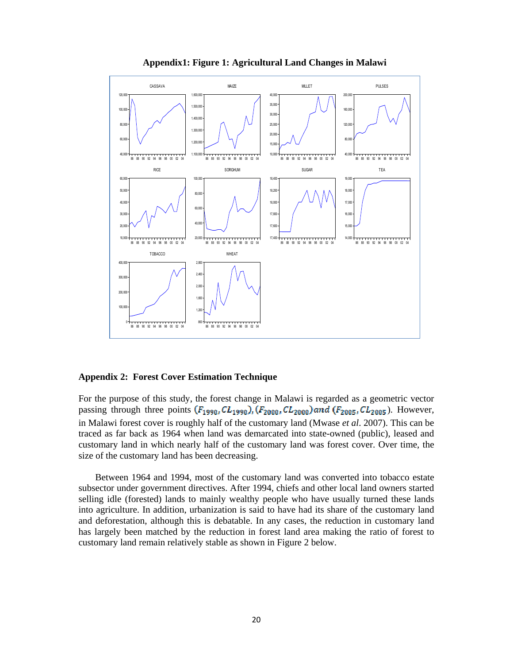

#### **Appendix1: Figure 1: Agricultural Land Changes in Malawi**

### **Appendix 2: Forest Cover Estimation Technique**

For the purpose of this study, the forest change in Malawi is regarded as a geometric vector passing through three points  $(F_{1990}, CL_{1990})$ ,  $(F_{2000}, CL_{2000})$  and  $(F_{2005}, CL_{2005})$ . However, in Malawi forest cover is roughly half of the customary land (Mwase *et al*. 2007). This can be traced as far back as 1964 when land was demarcated into state-owned (public), leased and customary land in which nearly half of the customary land was forest cover. Over time, the size of the customary land has been decreasing.

Between 1964 and 1994, most of the customary land was converted into tobacco estate subsector under government directives. After 1994, chiefs and other local land owners started selling idle (forested) lands to mainly wealthy people who have usually turned these lands into agriculture. In addition, urbanization is said to have had its share of the customary land and deforestation, although this is debatable. In any cases, the reduction in customary land has largely been matched by the reduction in forest land area making the ratio of forest to customary land remain relatively stable as shown in Figure 2 below.